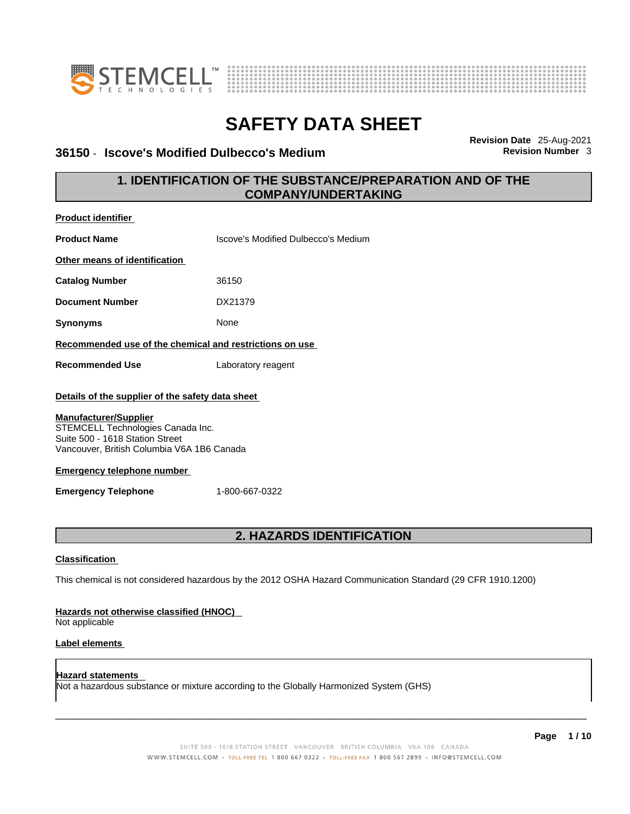



### **36150 · Iscove's Modified Dulbecco's Medium**

**Revision Date** 25-Aug-2021

## **1. IDENTIFICATION OF THE SUBSTANCE/PREPARATION AND OF THE COMPANY/UNDERTAKING**

| <b>Product identifier</b>                                                                                                                                                                                                                                                 |                                                                                                             |
|---------------------------------------------------------------------------------------------------------------------------------------------------------------------------------------------------------------------------------------------------------------------------|-------------------------------------------------------------------------------------------------------------|
| <b>Product Name</b>                                                                                                                                                                                                                                                       | Iscove's Modified Dulbecco's Medium                                                                         |
| Other means of identification                                                                                                                                                                                                                                             |                                                                                                             |
| <b>Catalog Number</b>                                                                                                                                                                                                                                                     | 36150                                                                                                       |
| <b>Document Number</b>                                                                                                                                                                                                                                                    | DX21379                                                                                                     |
| <b>Synonyms</b>                                                                                                                                                                                                                                                           | None                                                                                                        |
| Recommended use of the chemical and restrictions on use                                                                                                                                                                                                                   |                                                                                                             |
| <b>Recommended Use</b>                                                                                                                                                                                                                                                    | Laboratory reagent                                                                                          |
| Details of the supplier of the safety data sheet<br><b>Manufacturer/Supplier</b><br>STEMCELL Technologies Canada Inc.<br>Suite 500 - 1618 Station Street<br>Vancouver, British Columbia V6A 1B6 Canada<br><b>Emergency telephone number</b><br><b>Emergency Telephone</b> | 1-800-667-0322                                                                                              |
|                                                                                                                                                                                                                                                                           | 2. HAZARDS IDENTIFICATION                                                                                   |
| <b>Classification</b>                                                                                                                                                                                                                                                     | This chemical is not considered hazardous by the 2012 OSHA Hazard Communication Standard (29 CFR 1910.1200) |
| Hazards not otherwise classified (HNOC)<br>Not applicable                                                                                                                                                                                                                 |                                                                                                             |
| Label elements                                                                                                                                                                                                                                                            |                                                                                                             |
| <b>Hazard statements</b>                                                                                                                                                                                                                                                  |                                                                                                             |

Not a hazardous substance or mixture according to the Globally Harmonized System (GHS)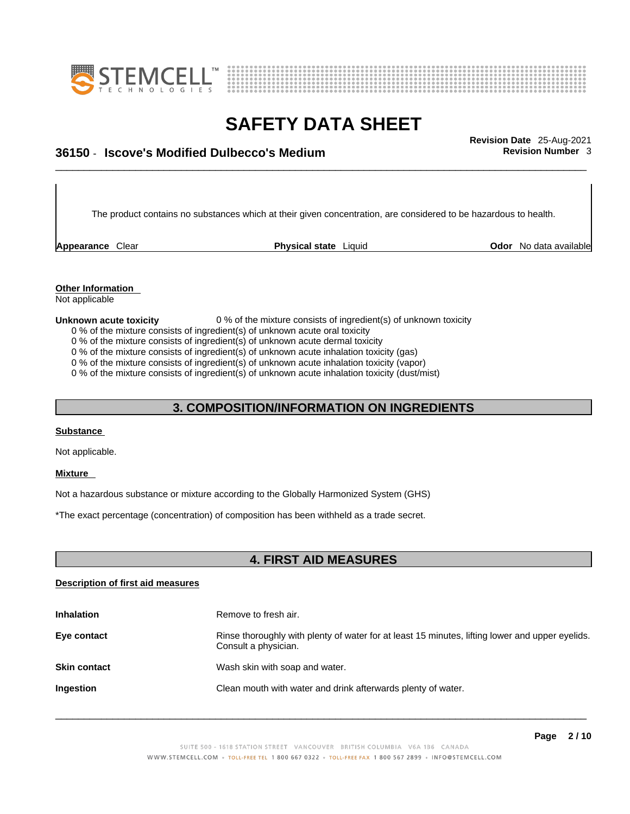



# \_\_\_\_\_\_\_\_\_\_\_\_\_\_\_\_\_\_\_\_\_\_\_\_\_\_\_\_\_\_\_\_\_\_\_\_\_\_\_\_\_\_\_\_\_\_\_\_\_\_\_\_\_\_\_\_\_\_\_\_\_\_\_\_\_\_\_\_\_\_\_\_\_\_\_\_\_\_\_\_\_\_\_\_\_\_\_\_\_\_\_\_\_ **Revision Date** 25-Aug-2021 **36150** - **Iscove's Modified Dulbecco's Medium Revision Number** 3

The product contains no substances which at their given concentration, are considered to be hazardous to health.

**Appearance** Clear **Physical state** Liquid

**Odor** No data available

**Other Information**  Not applicable

**Unknown acute toxicity** 0 % of the mixture consists of ingredient(s) of unknown toxicity

- 0 % of the mixture consists of ingredient(s) of unknown acute oral toxicity
- 0 % of the mixture consists of ingredient(s) of unknown acute dermal toxicity

0 % of the mixture consists of ingredient(s) of unknown acute inhalation toxicity (gas)

0 % of the mixture consists of ingredient(s) of unknown acute inhalation toxicity (vapor)

0 % of the mixture consists of ingredient(s) of unknown acute inhalation toxicity (dust/mist)

## **3. COMPOSITION/INFORMATION ON INGREDIENTS**

#### **Substance**

Not applicable.

#### **Mixture**

Not a hazardous substance or mixture according to the Globally Harmonized System (GHS)

\*The exact percentage (concentration) of composition has been withheld as a trade secret.

## **4. FIRST AID MEASURES**

#### **Description of first aid measures**

| <b>Inhalation</b>   | Remove to fresh air.                                                                                                    |
|---------------------|-------------------------------------------------------------------------------------------------------------------------|
| Eye contact         | Rinse thoroughly with plenty of water for at least 15 minutes, lifting lower and upper eyelids.<br>Consult a physician. |
| <b>Skin contact</b> | Wash skin with soap and water.                                                                                          |
| <b>Ingestion</b>    | Clean mouth with water and drink afterwards plenty of water.                                                            |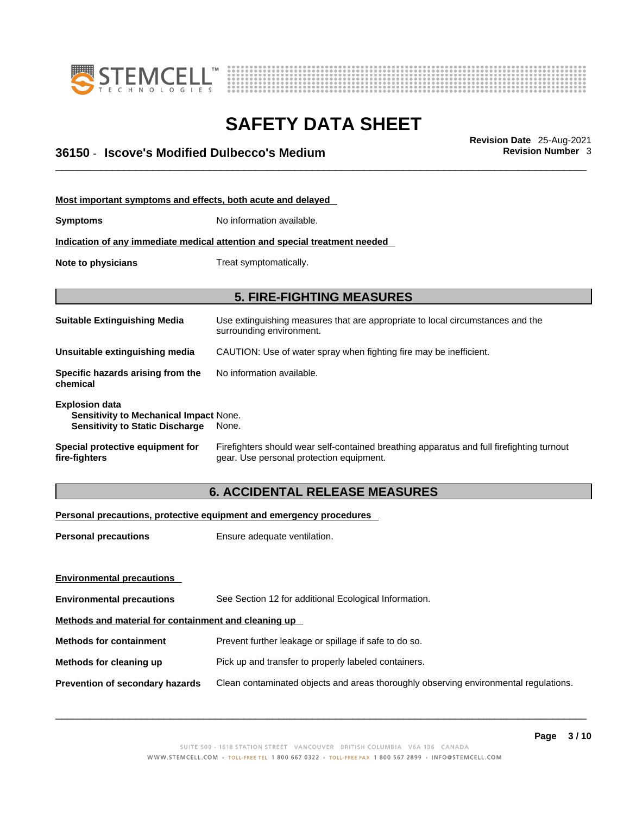



# \_\_\_\_\_\_\_\_\_\_\_\_\_\_\_\_\_\_\_\_\_\_\_\_\_\_\_\_\_\_\_\_\_\_\_\_\_\_\_\_\_\_\_\_\_\_\_\_\_\_\_\_\_\_\_\_\_\_\_\_\_\_\_\_\_\_\_\_\_\_\_\_\_\_\_\_\_\_\_\_\_\_\_\_\_\_\_\_\_\_\_\_\_ **Revision Date** 25-Aug-2021 **36150** - **Iscove's Modified Dulbecco's Medium Revision Number** 3

| Most important symptoms and effects, both acute and delayed                                                      |                                                                                                                                       |
|------------------------------------------------------------------------------------------------------------------|---------------------------------------------------------------------------------------------------------------------------------------|
| <b>Symptoms</b>                                                                                                  | No information available.                                                                                                             |
|                                                                                                                  | Indication of any immediate medical attention and special treatment needed                                                            |
| Note to physicians                                                                                               | Treat symptomatically.                                                                                                                |
|                                                                                                                  |                                                                                                                                       |
|                                                                                                                  | <b>5. FIRE-FIGHTING MEASURES</b>                                                                                                      |
| <b>Suitable Extinguishing Media</b>                                                                              | Use extinguishing measures that are appropriate to local circumstances and the<br>surrounding environment.                            |
| Unsuitable extinguishing media                                                                                   | CAUTION: Use of water spray when fighting fire may be inefficient.                                                                    |
| Specific hazards arising from the<br>chemical                                                                    | No information available.                                                                                                             |
| <b>Explosion data</b><br><b>Sensitivity to Mechanical Impact None.</b><br><b>Sensitivity to Static Discharge</b> | None.                                                                                                                                 |
| Special protective equipment for<br>fire-fighters                                                                | Firefighters should wear self-contained breathing apparatus and full firefighting turnout<br>gear. Use personal protection equipment. |

## **6. ACCIDENTAL RELEASE MEASURES**

#### **Personal precautions, protective equipment and emergency procedures**

| Ensure adequate ventilation.                                                         |  |  |
|--------------------------------------------------------------------------------------|--|--|
|                                                                                      |  |  |
|                                                                                      |  |  |
| See Section 12 for additional Ecological Information.                                |  |  |
| Methods and material for containment and cleaning up                                 |  |  |
| Prevent further leakage or spillage if safe to do so.                                |  |  |
| Pick up and transfer to properly labeled containers.                                 |  |  |
| Clean contaminated objects and areas thoroughly observing environmental regulations. |  |  |
|                                                                                      |  |  |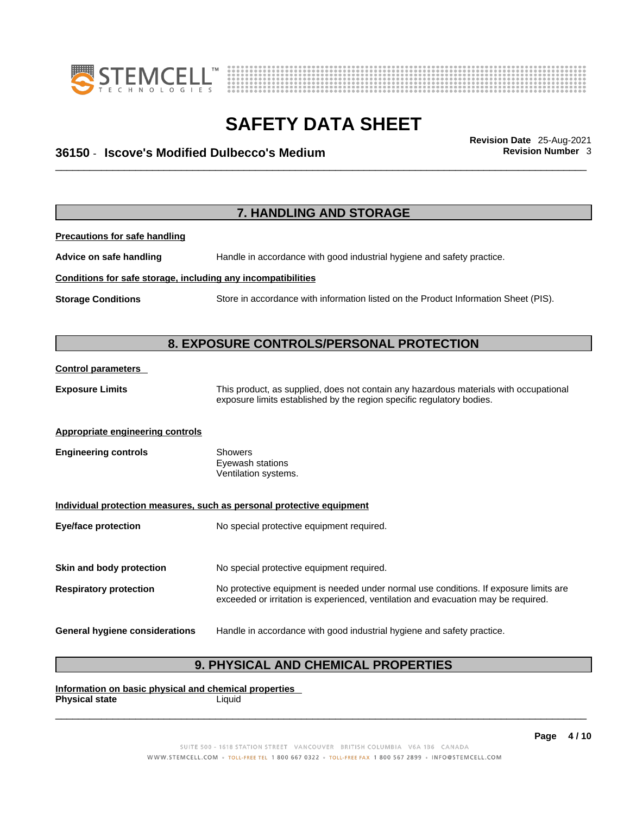



# \_\_\_\_\_\_\_\_\_\_\_\_\_\_\_\_\_\_\_\_\_\_\_\_\_\_\_\_\_\_\_\_\_\_\_\_\_\_\_\_\_\_\_\_\_\_\_\_\_\_\_\_\_\_\_\_\_\_\_\_\_\_\_\_\_\_\_\_\_\_\_\_\_\_\_\_\_\_\_\_\_\_\_\_\_\_\_\_\_\_\_\_\_ **Revision Date** 25-Aug-2021 **36150** - **Iscove's Modified Dulbecco's Medium Revision Number** 3

**7. HANDLING AND STORAGE Precautions for safe handling Advice on safe handling** Handle in accordance with good industrial hygiene and safety practice. **Conditions for safe storage, including any incompatibilities Storage Conditions** Store in accordance with information listed on the Product Information Sheet (PIS). **8. EXPOSURE CONTROLS/PERSONAL PROTECTION Control parameters Exposure Limits** This product, as supplied, does not contain any hazardous materials with occupational exposure limits established by the region specific regulatory bodies. **Appropriate engineering controls Engineering controls** Showers Eyewash stations Ventilation systems. **Individual protection measures, such as personal protective equipment Eye/face protection** No special protective equipment required. **Skin and body protection** No special protective equipment required. **Respiratory protection** No protective equipment is needed under normal use conditions. If exposure limits are exceeded or irritation is experienced, ventilation and evacuation may be required. **General hygiene considerations** Handle in accordance with good industrial hygiene and safety practice.

## **9. PHYSICAL AND CHEMICAL PROPERTIES**

**Information on basic physical and chemical properties Physical state** Liquid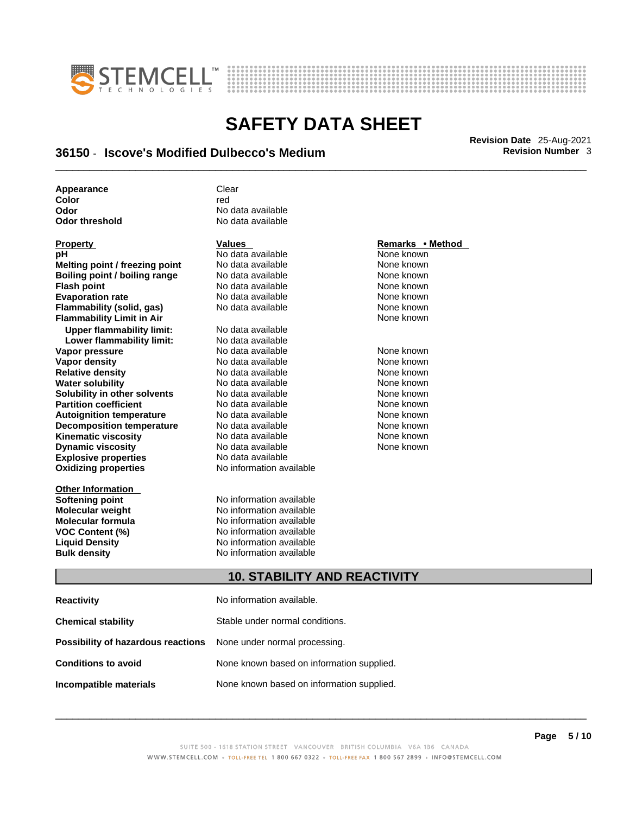



# \_\_\_\_\_\_\_\_\_\_\_\_\_\_\_\_\_\_\_\_\_\_\_\_\_\_\_\_\_\_\_\_\_\_\_\_\_\_\_\_\_\_\_\_\_\_\_\_\_\_\_\_\_\_\_\_\_\_\_\_\_\_\_\_\_\_\_\_\_\_\_\_\_\_\_\_\_\_\_\_\_\_\_\_\_\_\_\_\_\_\_\_\_ **Revision Date** 25-Aug-2021 **36150** - **Iscove's Modified Dulbecco's Medium Revision Number** 3

| Appearance     | Clear             |
|----------------|-------------------|
| Color          | red               |
| Odor           | No data available |
| Odor threshold | No data available |

| <b>Property</b>                  |
|----------------------------------|
| рH                               |
| Melting point / freezing point   |
| Boiling point / boiling range    |
| <b>Flash point</b>               |
| <b>Evaporation rate</b>          |
| Flammability (solid, gas)        |
| <b>Flammability Limit in Air</b> |
| <b>Upper flammability limit:</b> |
| Lower flammability limit:        |
| Vapor pressure                   |
| Vapor density                    |
| <b>Relative density</b>          |
| <b>Water solubility</b>          |
| Solubility in other solvents     |
| <b>Partition coefficient</b>     |
| <b>Autoignition temperature</b>  |
| <b>Decomposition temperature</b> |
| <b>Kinematic viscosity</b>       |
| <b>Dynamic viscosity</b>         |
| <b>Explosive properties</b>      |
| <b>Oxidizing properties</b>      |
|                                  |

**Other Information** 

**PH ANO data available None known**<br>
No data available None known **No data available <br><b>Algebra point No data available None known**<br> **None known Roidata available 1999 Mone known**<br> **Boiling** None known<br> **Roidata available None known No data available Evaporation No data available None known**<br> **Evaporation** None known<br>
None known **No data available No data available Lower flammability limit:** No data available **Vapora Available None known No data available None Known None known None known None known None known None known Vapor density Available** None known<br>
No data available None known **No data available** 

**Explosive properties** No data available **Oxidizing properties** No information available **No data available None known Solution Islam in Solution None known** None known **Partition Partition Coefficient Coefficient Coefficient Coefficient Coefficient Coefficient Coefficient Coefficient Coefficient Coefficient Coefficient Coefficient Coefficient Coefficient C Automische Munder None known**<br> **Automische None known**<br>
None known **No data available** No data available **None known** No data available None known

**Softening point**<br> **Molecular weight**<br> **Molecular weight**<br> **Molecular weight**<br> **Molecular weight No information available Molecular formula** No information available **VOC Content (%)**<br>
Liquid Density<br>
No information available<br>
No information available **No information available Bulk density No information available** 

#### **Property CONSIDERENT VALUES PROPERTY Remarks • Method**

**Flammability Limit in Air** None known

## **10. STABILITY AND REACTIVITY**

| <b>Reactivity</b>                                                       | No information available.                 |
|-------------------------------------------------------------------------|-------------------------------------------|
| <b>Chemical stability</b>                                               | Stable under normal conditions.           |
| <b>Possibility of hazardous reactions</b> None under normal processing. |                                           |
| <b>Conditions to avoid</b>                                              | None known based on information supplied. |
| Incompatible materials                                                  | None known based on information supplied. |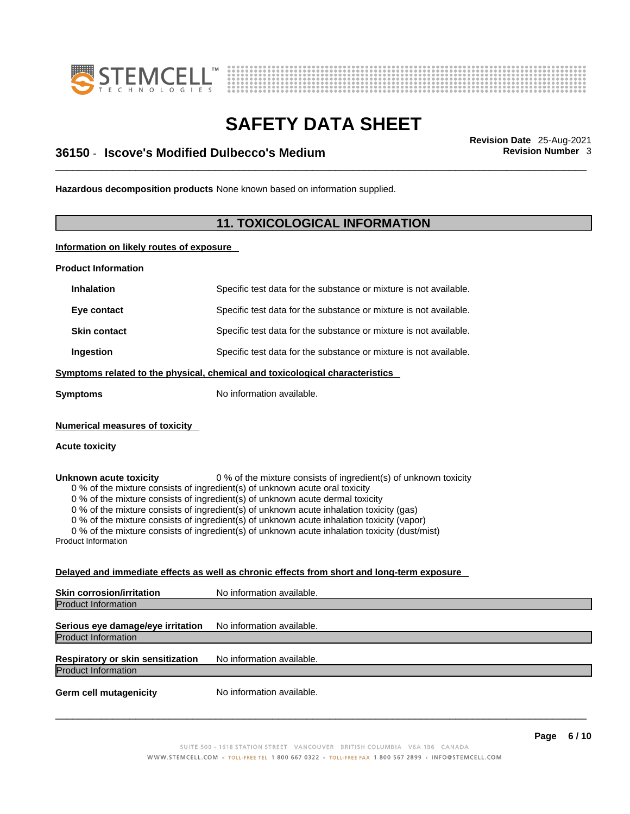



# \_\_\_\_\_\_\_\_\_\_\_\_\_\_\_\_\_\_\_\_\_\_\_\_\_\_\_\_\_\_\_\_\_\_\_\_\_\_\_\_\_\_\_\_\_\_\_\_\_\_\_\_\_\_\_\_\_\_\_\_\_\_\_\_\_\_\_\_\_\_\_\_\_\_\_\_\_\_\_\_\_\_\_\_\_\_\_\_\_\_\_\_\_ **Revision Date** 25-Aug-2021 **36150** - **Iscove's Modified Dulbecco's Medium Revision Number** 3

**Hazardous decomposition products** None known based on information supplied.

## **11. TOXICOLOGICAL INFORMATION**

**Information on likely routes of exposure**

**Product Information**

| <b>Inhalation</b>                                    | Specific test data for the substance or mixture is not available.                                                                                                                                                                                                                                                                                                                                                                                                                                                         |
|------------------------------------------------------|---------------------------------------------------------------------------------------------------------------------------------------------------------------------------------------------------------------------------------------------------------------------------------------------------------------------------------------------------------------------------------------------------------------------------------------------------------------------------------------------------------------------------|
| Eye contact                                          | Specific test data for the substance or mixture is not available.                                                                                                                                                                                                                                                                                                                                                                                                                                                         |
| <b>Skin contact</b>                                  | Specific test data for the substance or mixture is not available.                                                                                                                                                                                                                                                                                                                                                                                                                                                         |
| Ingestion                                            | Specific test data for the substance or mixture is not available.                                                                                                                                                                                                                                                                                                                                                                                                                                                         |
|                                                      | Symptoms related to the physical, chemical and toxicological characteristics                                                                                                                                                                                                                                                                                                                                                                                                                                              |
| <b>Symptoms</b>                                      | No information available.                                                                                                                                                                                                                                                                                                                                                                                                                                                                                                 |
| <b>Numerical measures of toxicity</b>                |                                                                                                                                                                                                                                                                                                                                                                                                                                                                                                                           |
| <b>Acute toxicity</b>                                |                                                                                                                                                                                                                                                                                                                                                                                                                                                                                                                           |
| Unknown acute toxicity<br><b>Product Information</b> | 0 % of the mixture consists of ingredient(s) of unknown toxicity<br>0 % of the mixture consists of ingredient(s) of unknown acute oral toxicity<br>0 % of the mixture consists of ingredient(s) of unknown acute dermal toxicity<br>0 % of the mixture consists of ingredient(s) of unknown acute inhalation toxicity (gas)<br>0 % of the mixture consists of ingredient(s) of unknown acute inhalation toxicity (vapor)<br>0 % of the mixture consists of ingredient(s) of unknown acute inhalation toxicity (dust/mist) |
|                                                      | Delayed and immediate effects as well as chronic effects from short and long-term exposure                                                                                                                                                                                                                                                                                                                                                                                                                                |
| <b>Skin corrosion/irritation</b>                     | No information available.                                                                                                                                                                                                                                                                                                                                                                                                                                                                                                 |
| <b>Product Information</b>                           |                                                                                                                                                                                                                                                                                                                                                                                                                                                                                                                           |
| Serious eye damage/eye irritation                    | No information available.                                                                                                                                                                                                                                                                                                                                                                                                                                                                                                 |
| <b>Product Information</b>                           |                                                                                                                                                                                                                                                                                                                                                                                                                                                                                                                           |
| <b>Respiratory or skin sensitization</b>             | No information available.                                                                                                                                                                                                                                                                                                                                                                                                                                                                                                 |

Product Information

**Germ cell mutagenicity** No information available.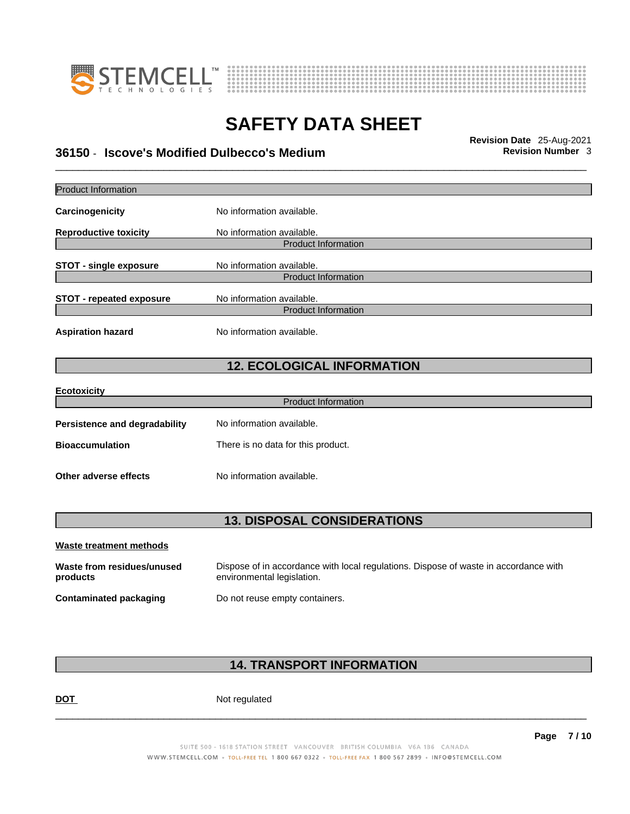



# \_\_\_\_\_\_\_\_\_\_\_\_\_\_\_\_\_\_\_\_\_\_\_\_\_\_\_\_\_\_\_\_\_\_\_\_\_\_\_\_\_\_\_\_\_\_\_\_\_\_\_\_\_\_\_\_\_\_\_\_\_\_\_\_\_\_\_\_\_\_\_\_\_\_\_\_\_\_\_\_\_\_\_\_\_\_\_\_\_\_\_\_\_ **Revision Date** 25-Aug-2021 **36150** - **Iscove's Modified Dulbecco's Medium Revision Number** 3

| Dispose of in accordance with local regulations. Dispose of waste in accordance with |
|--------------------------------------------------------------------------------------|
|                                                                                      |
|                                                                                      |

## **14. TRANSPORT INFORMATION**

DOT Not regulated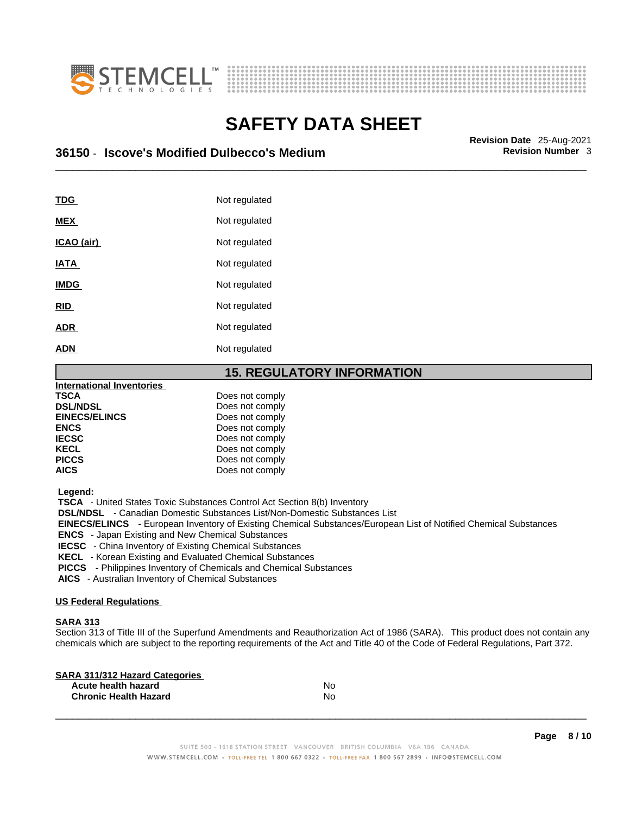



# \_\_\_\_\_\_\_\_\_\_\_\_\_\_\_\_\_\_\_\_\_\_\_\_\_\_\_\_\_\_\_\_\_\_\_\_\_\_\_\_\_\_\_\_\_\_\_\_\_\_\_\_\_\_\_\_\_\_\_\_\_\_\_\_\_\_\_\_\_\_\_\_\_\_\_\_\_\_\_\_\_\_\_\_\_\_\_\_\_\_\_\_\_ **Revision Date** 25-Aug-2021 **36150** - **Iscove's Modified Dulbecco's Medium Revision Number** 3

| TDG         | Not regulated |
|-------------|---------------|
| <b>MEX</b>  | Not regulated |
| ICAO (air)  | Not regulated |
| <b>IATA</b> | Not regulated |
| <b>IMDG</b> | Not regulated |
| <b>RID</b>  | Not regulated |
| <b>ADR</b>  | Not regulated |
| <b>ADN</b>  | Not regulated |
|             |               |

#### **15. REGULATORY INFORMATION**

| <b>International Inventories</b> |                 |  |
|----------------------------------|-----------------|--|
| <b>TSCA</b>                      | Does not comply |  |
| <b>DSL/NDSL</b>                  | Does not comply |  |
| <b>EINECS/ELINCS</b>             | Does not comply |  |
| <b>ENCS</b>                      | Does not comply |  |
| <b>IECSC</b>                     | Does not comply |  |
| <b>KECL</b>                      | Does not comply |  |
| <b>PICCS</b>                     | Does not comply |  |
| <b>AICS</b>                      | Does not comply |  |
|                                  |                 |  |

 **Legend:** 

 **TSCA** - United States Toxic Substances Control Act Section 8(b) Inventory

 **DSL/NDSL** - Canadian Domestic Substances List/Non-Domestic Substances List

 **EINECS/ELINCS** - European Inventory of Existing Chemical Substances/European List of Notified Chemical Substances

 **ENCS** - Japan Existing and New Chemical Substances

 **IECSC** - China Inventory of Existing Chemical Substances

 **KECL** - Korean Existing and Evaluated Chemical Substances

 **PICCS** - Philippines Inventory of Chemicals and Chemical Substances

 **AICS** - Australian Inventory of Chemical Substances

#### **US Federal Regulations**

#### **SARA 313**

Section 313 of Title III of the Superfund Amendments and Reauthorization Act of 1986 (SARA). This product does not contain any chemicals which are subject to the reporting requirements of the Act and Title 40 of the Code of Federal Regulations, Part 372.

| No |  |
|----|--|
| No |  |
|    |  |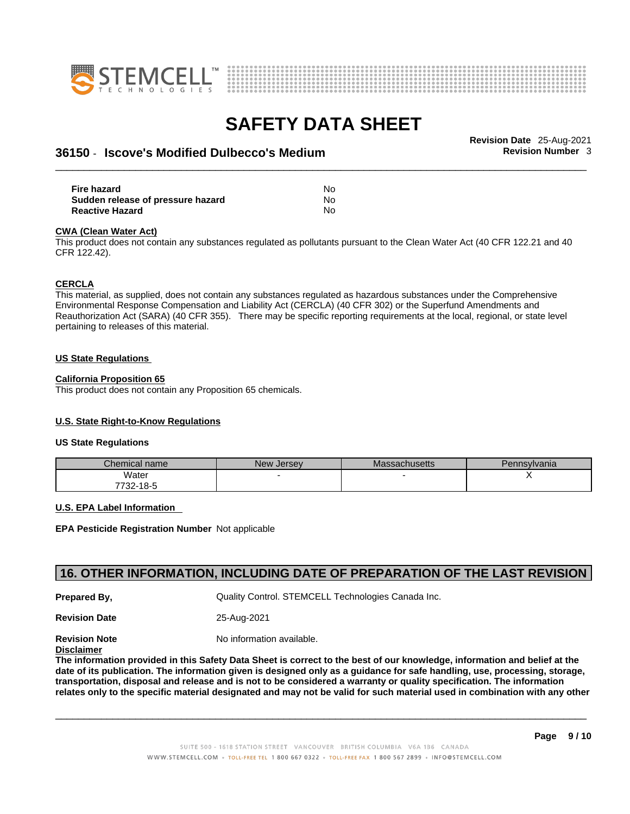



# \_\_\_\_\_\_\_\_\_\_\_\_\_\_\_\_\_\_\_\_\_\_\_\_\_\_\_\_\_\_\_\_\_\_\_\_\_\_\_\_\_\_\_\_\_\_\_\_\_\_\_\_\_\_\_\_\_\_\_\_\_\_\_\_\_\_\_\_\_\_\_\_\_\_\_\_\_\_\_\_\_\_\_\_\_\_\_\_\_\_\_\_\_ **Revision Date** 25-Aug-2021 **36150** - **Iscove's Modified Dulbecco's Medium Revision Number** 3

**Fire hazard** No **Sudden release of pressure hazard** No **Reactive Hazard** No

#### **CWA** (Clean Water Act)

This product does not contain any substances regulated as pollutants pursuant to the Clean Water Act (40 CFR 122.21 and 40 CFR 122.42).

#### **CERCLA**

This material, as supplied, does not contain any substances regulated as hazardous substances under the Comprehensive Environmental Response Compensation and Liability Act (CERCLA) (40 CFR 302) or the Superfund Amendments and Reauthorization Act (SARA) (40 CFR 355). There may be specific reporting requirements at the local, regional, or state level pertaining to releases of this material.

#### **US State Regulations**

#### **California Proposition 65**

This product does not contain any Proposition 65 chemicals.

#### **U.S. State Right-to-Know Regulations**

#### **US State Regulations**

| Chemical name | <b>New Jersey</b> | <b>Massachusetts</b> | Pennsylvania |
|---------------|-------------------|----------------------|--------------|
| Water         |                   |                      |              |
| 7732-18-5     |                   |                      |              |

#### **U.S. EPA Label Information**

**EPA Pesticide Registration Number** Not applicable

#### **16. OTHER INFORMATION, INCLUDING DATE OF PREPARATION OF THE LAST REVISION**

**Prepared By, State Control. STEMCELL Technologies Canada Inc.** Cuality Control. STEMCELL Technologies Canada Inc.

**Revision Date** 25-Aug-2021

**Revision Note** Noinformation available.

**Disclaimer**

The information provided in this Safety Data Sheet is correct to the best of our knowledge, information and belief at the date of its publication. The information given is designed only as a guidance for safe handling, use, processing, storage, transportation, disposal and release and is not to be considered a warranty or quality specification. The information relates only to the specific material designated and may not be valid for such material used in combination with any other